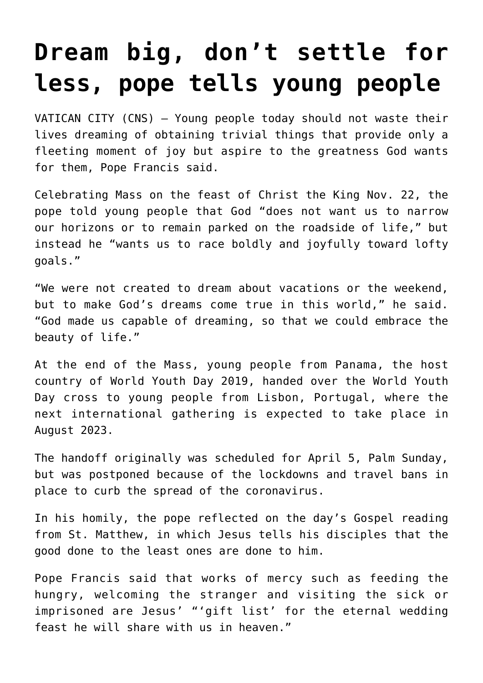## **[Dream big, don't settle for](https://www.osvnews.com/2020/11/23/dream-big-dont-settle-for-less-pope-tells-young-people/) [less, pope tells young people](https://www.osvnews.com/2020/11/23/dream-big-dont-settle-for-less-pope-tells-young-people/)**

VATICAN CITY (CNS) — Young people today should not waste their lives dreaming of obtaining trivial things that provide only a fleeting moment of joy but aspire to the greatness God wants for them, Pope Francis said.

Celebrating Mass on the feast of Christ the King Nov. 22, the pope told young people that God "does not want us to narrow our horizons or to remain parked on the roadside of life," but instead he "wants us to race boldly and joyfully toward lofty goals."

"We were not created to dream about vacations or the weekend, but to make God's dreams come true in this world," he said. "God made us capable of dreaming, so that we could embrace the beauty of life."

At the end of the Mass, young people from Panama, the host country of World Youth Day 2019, handed over the World Youth Day cross to young people from Lisbon, Portugal, where the next international gathering is expected to take place in August 2023.

The handoff originally was scheduled for April 5, Palm Sunday, but was postponed because of the lockdowns and travel bans in place to curb the spread of the coronavirus.

In his homily, the pope reflected on the day's Gospel reading from St. Matthew, in which Jesus tells his disciples that the good done to the least ones are done to him.

Pope Francis said that works of mercy such as feeding the hungry, welcoming the stranger and visiting the sick or imprisoned are Jesus' "'gift list' for the eternal wedding feast he will share with us in heaven."